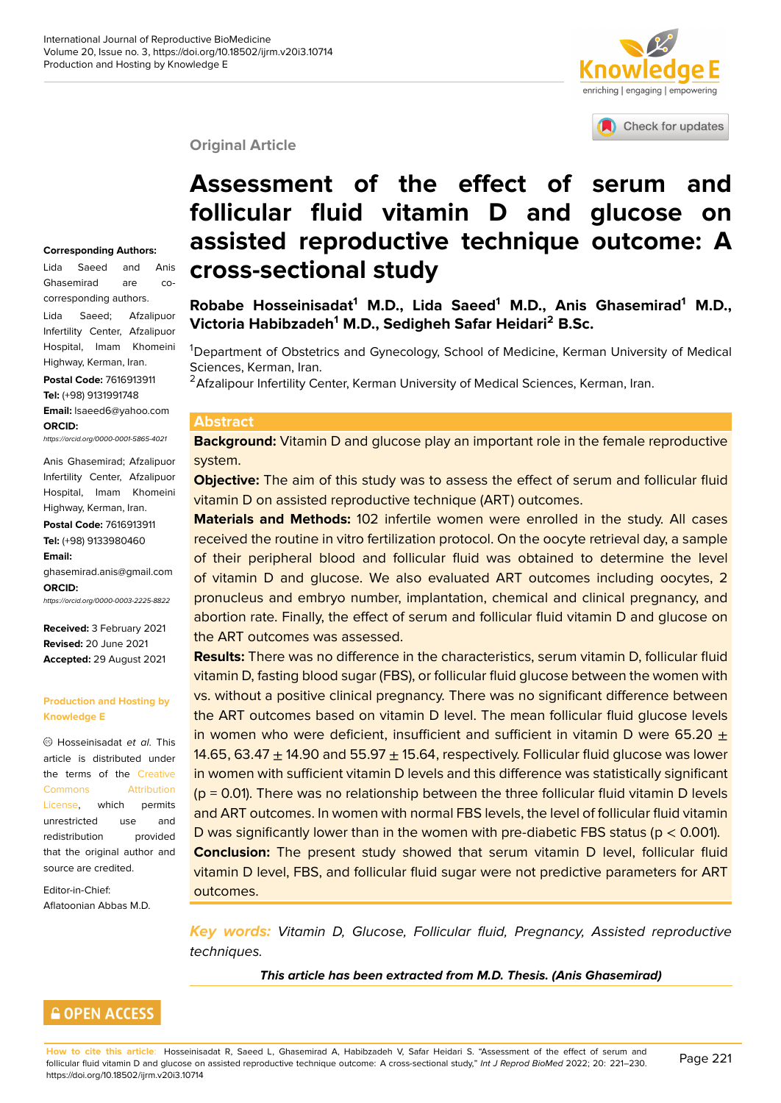# enriching | engaging | empowering

Check for updates

#### **Original Article**

#### **Corresponding Authors:**

Lida Saeed and Anis Ghasemirad are cocorresponding authors.

Lida Saeed; Afzalipuor Infertility Center, Afzalipuor Hospital, Imam Khomeini Highway, Kerman, Iran.

**Postal Code:** 7616913911 **Tel:** (+98) 9131991748 **Email:** lsaeed6@yahoo.com

**ORCID:** *https://orcid.org/0000-0001-5865-4021*

Anis Ghasemirad; Afzalipuor Infertility Center, Afzalipuor Hospital, Imam Khomeini

**Postal Code:** 7616913911 **Tel:** (+98) 9133980460 **Email:**

Highway, Kerman, Iran.

ghasemirad.anis@gmail.com **ORCID:**

*https://orcid.org/0000-0003-2225-8822*

**Received:** 3 February 2021 **Revised:** 20 June 2021 **Accepted:** 29 August 2021

#### **Production and Hosting by Knowledge E**

Hosseinisadat *et al*. This article is distributed under the terms of the Creative Commons Attribution License, which permits unrestricted use and redistribution [provided](https://creativecommons.org/licenses/by/4.0/) [that the original author and](https://creativecommons.org/licenses/by/4.0/) [source a](https://creativecommons.org/licenses/by/4.0/)re credited.

Editor-in-Chief: Aflatoonian Abbas M.D.

# **Assessment of the effect of [serum and](http://crossmark.crossref.org/dialog/?doi=10.18502/ijrm.v20i3.10714&domain=pdf&date_stamp=2018-01-27) follicular fluid vitamin D and glucose on assisted reproductive technique outcome: A cross-sectional study**

**Robabe Hosseinisadat<sup>1</sup> M.D., Lida Saeed<sup>1</sup> M.D., Anis Ghasemirad<sup>1</sup> M.D., Victoria Habibzadeh<sup>1</sup> M.D., Sedigheh Safar Heidari<sup>2</sup> B.Sc.**

<sup>1</sup>Department of Obstetrics and Gynecology, School of Medicine, Kerman University of Medical Sciences, Kerman, Iran.

<sup>2</sup> Afzalipour Infertility Center, Kerman University of Medical Sciences, Kerman, Iran.

#### **Abstract**

**Background:** Vitamin D and glucose play an important role in the female reproductive system.

**Objective:** The aim of this study was to assess the effect of serum and follicular fluid vitamin D on assisted reproductive technique (ART) outcomes.

**Materials and Methods:** 102 infertile women were enrolled in the study. All cases received the routine in vitro fertilization protocol. On the oocyte retrieval day, a sample of their peripheral blood and follicular fluid was obtained to determine the level of vitamin D and glucose. We also evaluated ART outcomes including oocytes, 2 pronucleus and embryo number, implantation, chemical and clinical pregnancy, and abortion rate. Finally, the effect of serum and follicular fluid vitamin D and glucose on the ART outcomes was assessed.

**Results:** There was no difference in the characteristics, serum vitamin D, follicular fluid vitamin D, fasting blood sugar (FBS), or follicular fluid glucose between the women with vs. without a positive clinical pregnancy. There was no significant difference between the ART outcomes based on vitamin D level. The mean follicular fluid glucose levels in women who were deficient, insufficient and sufficient in vitamin D were 65.20  $\pm$ 14.65, 63.47  $\pm$  14.90 and 55.97  $\pm$  15.64, respectively. Follicular fluid glucose was lower in women with sufficient vitamin D levels and this difference was statistically significant (p = 0.01). There was no relationship between the three follicular fluid vitamin D levels and ART outcomes. In women with normal FBS levels, the level of follicular fluid vitamin D was significantly lower than in the women with pre-diabetic FBS status ( $p < 0.001$ ). **Conclusion:** The present study showed that serum vitamin D level, follicular fluid vitamin D level, FBS, and follicular fluid sugar were not predictive parameters for ART outcomes.

*Key words: Vitamin D, Glucose, Follicular fluid, Pregnancy, Assisted reproductive techniques.*

*This article has been extracted from M.D. Thesis. (Anis Ghasemirad)*



**How to cite this article**: Hosseinisadat R, Saeed L, Ghasemirad A, Habibzadeh V, Safar Heidari S. "Assessment of the effect of serum and follicular fluid vitamin D and glucose on assisted reproductive technique outcome: A cross-sectional study," *Int J Reprod BioMed* 2022; 20: 221–230. https://doi.org/10.18502/ijrm.v20i3.10714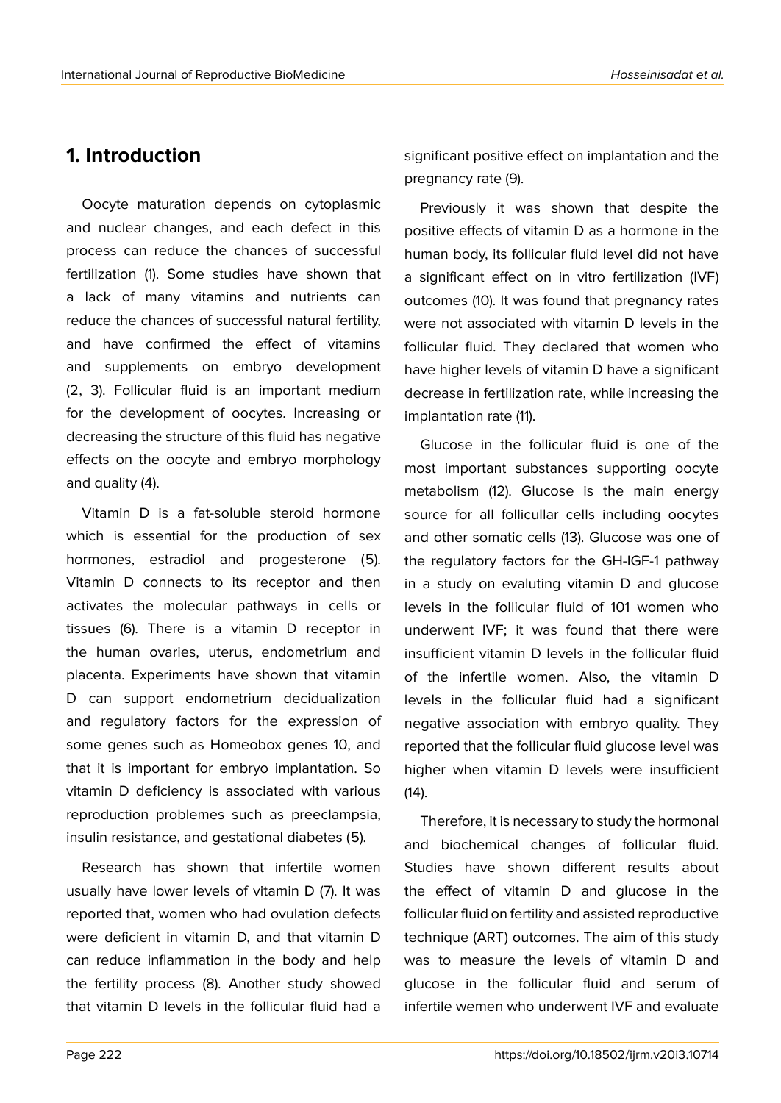## **1. Introduction**

Oocyte maturation depends on cytoplasmic and nuclear changes, and each defect in this process can reduce the chances of successful fertilization (1). Some studies have shown that a lack of many vitamins and nutrients can reduce the chances of successful natural fertility, and have confirmed the effect of vitamins and supplements on embryo development (2, 3). Follicular fluid is an important medium for the development of oocytes. Increasing or decreasing the structure of this fluid has negative effects on the oocyte and embryo morphology and quality (4).

Vitamin D is a fat-soluble steroid hormone which is essential for the production of sex hormones, estradiol and progesterone (5). Vitamin D connects to its receptor and then activates the molecular pathways in cells or tissues (6). There is a vitamin D receptor in the human ovaries, uterus, endometrium and placenta. Experiments have shown that vitamin D can support endometrium decidualization and regulatory factors for the expression of some genes such as Homeobox genes 10, and that it is important for embryo implantation. So vitamin D deficiency is associated with various reproduction problemes such as preeclampsia, insulin resistance, and gestational diabetes (5).

Research has shown that infertile women usually have lower levels of vitamin D (7). It was reported that, women who had ovulation defects were deficient in vitamin D, and that vitamin D can reduce inflammation in the body and help the fertility process (8). Another study showed that vitamin D levels in the follicular fluid had a

significant positive effect on implantation and the pregnancy rate (9).

Previously it was shown that despite the positive effects of vitamin D as a hormone in the human body, its follicular fluid level did not have a significant effect on in vitro fertilization (IVF) outcomes (10). It was found that pregnancy rates were not associated with vitamin D levels in the follicular fluid. They declared that women who have higher levels of vitamin D have a significant decrease in fertilization rate, while increasing the implantation rate (11).

Glucose in the follicular fluid is one of the most important substances supporting oocyte metabolism (12). Glucose is the main energy source for all follicullar cells including oocytes and other somatic cells (13). Glucose was one of the regulatory factors for the GH-IGF-1 pathway in a study on evaluting vitamin D and glucose levels in the follicular fluid of 101 women who underwent IVF; it was found that there were insufficient vitamin D levels in the follicular fluid of the infertile women. Also, the vitamin D levels in the follicular fluid had a significant negative association with embryo quality. They reported that the follicular fluid glucose level was higher when vitamin D levels were insufficient (14).

Therefore, it is necessary to study the hormonal and biochemical changes of follicular fluid. Studies have shown different results about the effect of vitamin D and glucose in the follicular fluid on fertility and assisted reproductive technique (ART) outcomes. The aim of this study was to measure the levels of vitamin D and glucose in the follicular fluid and serum of infertile wemen who underwent IVF and evaluate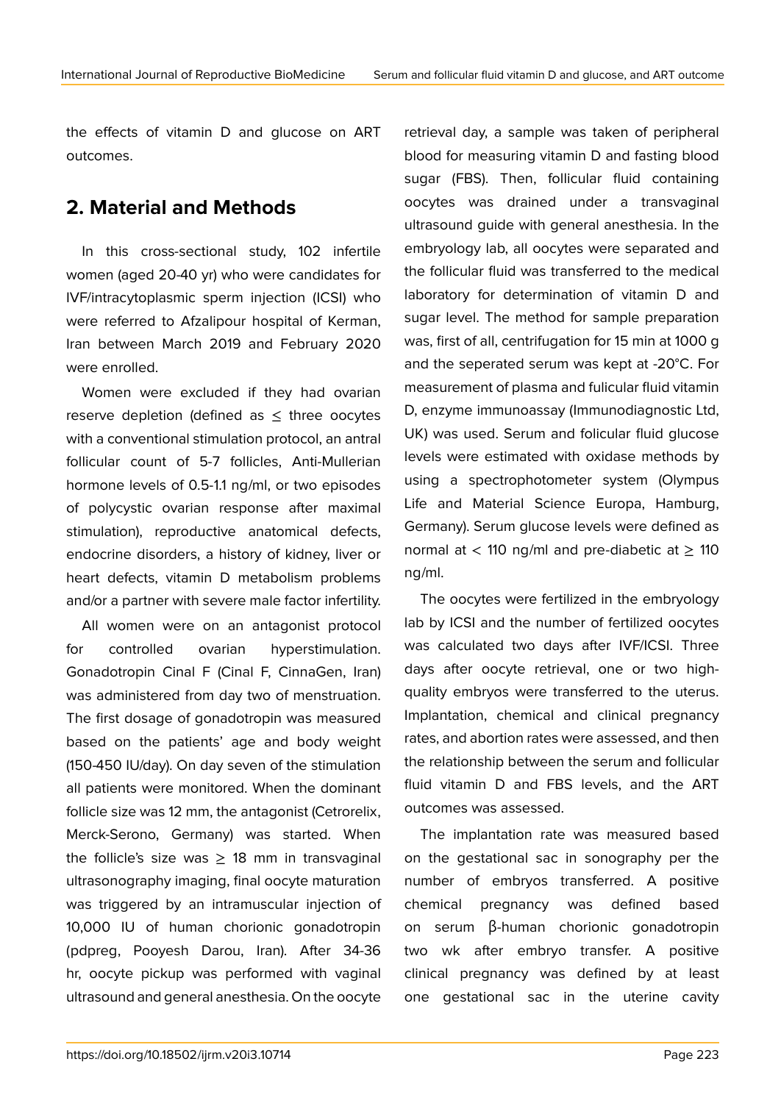the effects of vitamin D and glucose on ART outcomes.

## **2. Material and Methods**

In this cross-sectional study, 102 infertile women (aged 20-40 yr) who were candidates for IVF/intracytoplasmic sperm injection (ICSI) who were referred to Afzalipour hospital of Kerman, Iran between March 2019 and February 2020 were enrolled.

Women were excluded if they had ovarian reserve depletion (defined as ≤ three oocytes with a conventional stimulation protocol, an antral follicular count of 5-7 follicles, Anti-Mullerian hormone levels of 0.5-1.1 ng/ml, or two episodes of polycystic ovarian response after maximal stimulation), reproductive anatomical defects, endocrine disorders, a history of kidney, liver or heart defects, vitamin D metabolism problems and/or a partner with severe male factor infertility.

All women were on an antagonist protocol for controlled ovarian hyperstimulation. Gonadotropin Cinal F (Cinal F, CinnaGen, Iran) was administered from day two of menstruation. The first dosage of gonadotropin was measured based on the patients' age and body weight (150-450 IU/day). On day seven of the stimulation all patients were monitored. When the dominant follicle size was 12 mm, the antagonist (Cetrorelix, Merck-Serono, Germany) was started. When the follicle's size was  $\geq$  18 mm in transvaginal ultrasonography imaging, final oocyte maturation was triggered by an intramuscular injection of 10,000 IU of human chorionic gonadotropin (pdpreg, Pooyesh Darou, Iran). After 34-36 hr, oocyte pickup was performed with vaginal ultrasound and general anesthesia. On the oocyte retrieval day, a sample was taken of peripheral blood for measuring vitamin D and fasting blood sugar (FBS). Then, follicular fluid containing oocytes was drained under a transvaginal ultrasound guide with general anesthesia. In the embryology lab, all oocytes were separated and the follicular fluid was transferred to the medical laboratory for determination of vitamin D and sugar level. The method for sample preparation was, first of all, centrifugation for 15 min at 1000 g and the seperated serum was kept at -20°C. For measurement of plasma and fulicular fluid vitamin D, enzyme immunoassay (Immunodiagnostic Ltd, UK) was used. Serum and folicular fluid glucose levels were estimated with oxidase methods by using a spectrophotometer system (Olympus Life and Material Science Europa, Hamburg, Germany). Serum glucose levels were defined as normal at < 110 ng/ml and pre-diabetic at  $\geq$  110 ng/ml.

The oocytes were fertilized in the embryology lab by ICSI and the number of fertilized oocytes was calculated two days after IVF/ICSI. Three days after oocyte retrieval, one or two highquality embryos were transferred to the uterus. Implantation, chemical and clinical pregnancy rates, and abortion rates were assessed, and then the relationship between the serum and follicular fluid vitamin D and FBS levels, and the ART outcomes was assessed.

The implantation rate was measured based on the gestational sac in sonography per the number of embryos transferred. A positive chemical pregnancy was defined based on serum β-human chorionic gonadotropin two wk after embryo transfer. A positive clinical pregnancy was defined by at least one gestational sac in the uterine cavity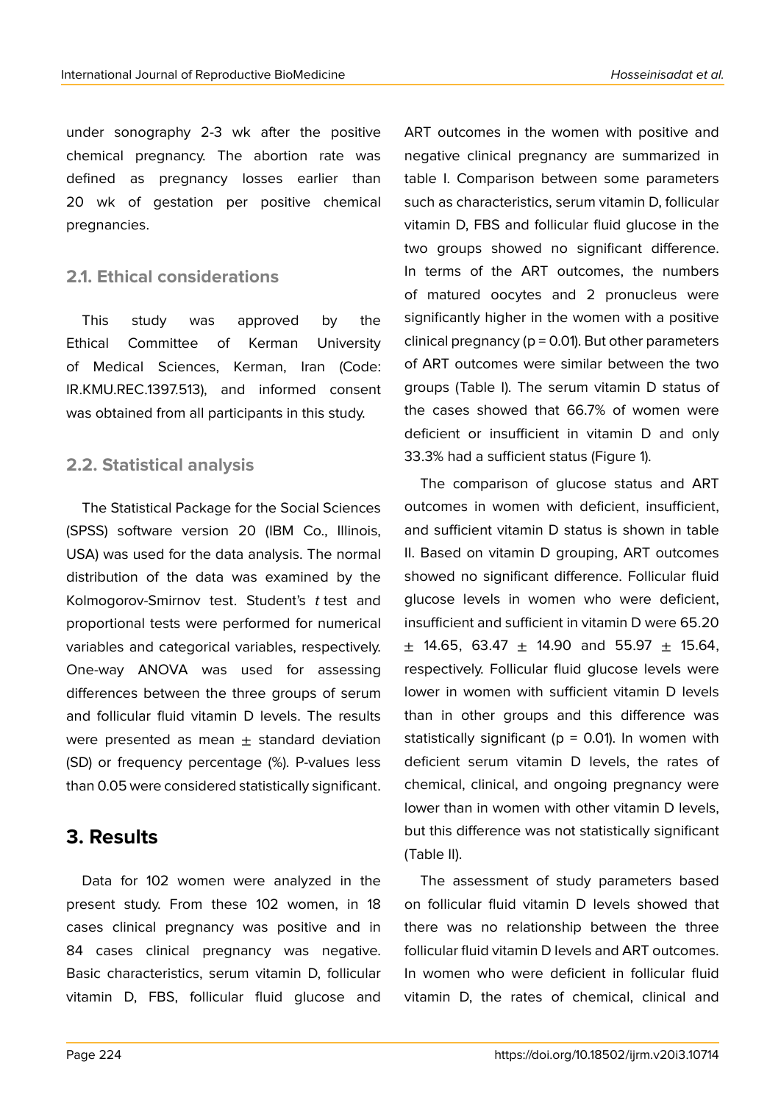under sonography 2-3 wk after the positive chemical pregnancy. The abortion rate was defined as pregnancy losses earlier than 20 wk of gestation per positive chemical pregnancies.

### **2.1. Ethical considerations**

This study was approved by the Ethical Committee of Kerman University of Medical Sciences, Kerman, Iran (Code: IR.KMU.REC.1397.513), and informed consent was obtained from all participants in this study.

### **2.2. Statistical analysis**

The Statistical Package for the Social Sciences (SPSS) software version 20 (IBM Co., Illinois, USA) was used for the data analysis. The normal distribution of the data was examined by the Kolmogorov-Smirnov test. Student's *t* test and proportional tests were performed for numerical variables and categorical variables, respectively. One-way ANOVA was used for assessing differences between the three groups of serum and follicular fluid vitamin D levels. The results were presented as mean  $\pm$  standard deviation (SD) or frequency percentage (%). P-values less than 0.05 were considered statistically significant.

## **3. Results**

Data for 102 women were analyzed in the present study. From these 102 women, in 18 cases clinical pregnancy was positive and in 84 cases clinical pregnancy was negative. Basic characteristics, serum vitamin D, follicular vitamin D, FBS, follicular fluid glucose and

ART outcomes in the women with positive and negative clinical pregnancy are summarized in table I. Comparison between some parameters such as characteristics, serum vitamin D, follicular vitamin D, FBS and follicular fluid glucose in the two groups showed no significant difference. In terms of the ART outcomes, the numbers of matured oocytes and 2 pronucleus were significantly higher in the women with a positive clinical pregnancy ( $p = 0.01$ ). But other parameters of ART outcomes were similar between the two groups (Table I). The serum vitamin D status of the cases showed that 66.7% of women were deficient or insufficient in vitamin D and only 33.3% had a sufficient status (Figure 1).

The comparison of glucose status and ART outcomes in women with deficient, insufficient, and sufficient vitamin D status is shown in table II. Based on vitamin D grouping, ART outcomes showed no significant difference. Follicular fluid glucose levels in women who were deficient, insufficient and sufficient in vitamin D were 65.20  $\pm$  14.65, 63.47  $\pm$  14.90 and 55.97  $\pm$  15.64, respectively. Follicular fluid glucose levels were lower in women with sufficient vitamin D levels than in other groups and this difference was statistically significant ( $p = 0.01$ ). In women with deficient serum vitamin D levels, the rates of chemical, clinical, and ongoing pregnancy were lower than in women with other vitamin D levels, but this difference was not statistically significant (Table II).

The assessment of study parameters based on follicular fluid vitamin D levels showed that there was no relationship between the three follicular fluid vitamin D levels and ART outcomes. In women who were deficient in follicular fluid vitamin D, the rates of chemical, clinical and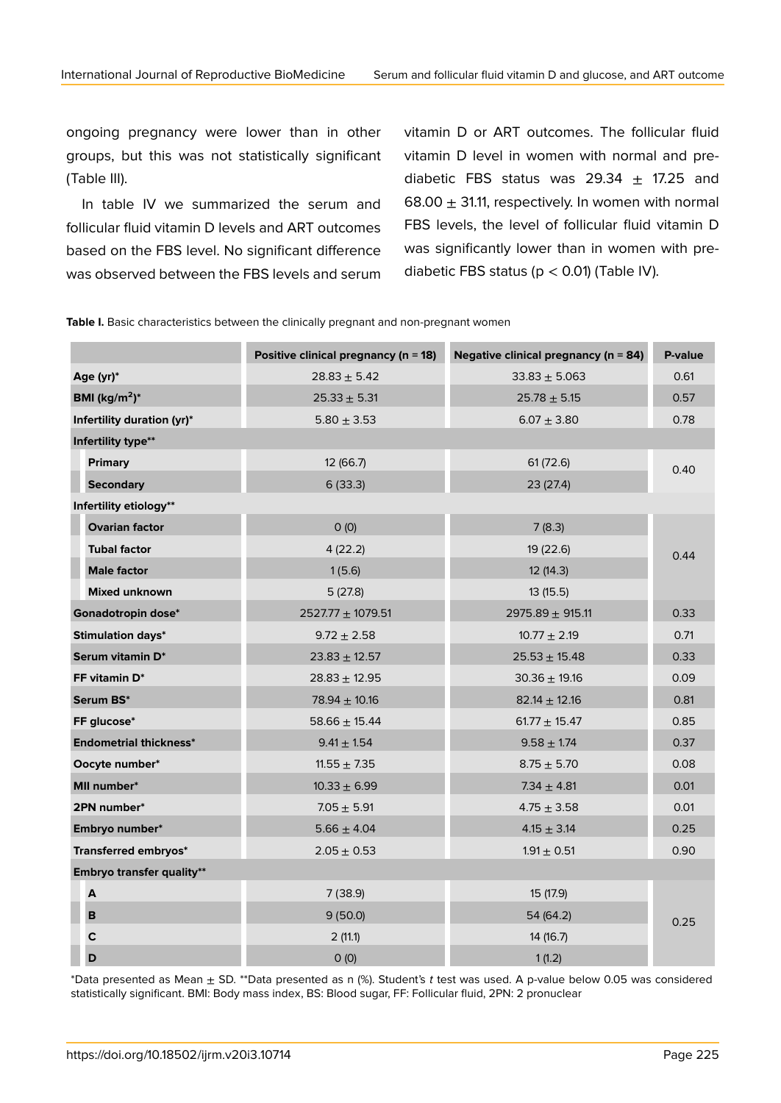ongoing pregnancy were lower than in other groups, but this was not statistically significant (Table III).

In table IV we summarized the serum and follicular fluid vitamin D levels and ART outcomes based on the FBS level. No significant difference was observed between the FBS levels and serum vitamin D or ART outcomes. The follicular fluid vitamin D level in women with normal and prediabetic FBS status was 29.34  $\pm$  17.25 and 68.00  $\pm$  31.11, respectively. In women with normal FBS levels, the level of follicular fluid vitamin D was significantly lower than in women with prediabetic FBS status ( $p < 0.01$ ) (Table IV).

Table I. Basic characteristics between the clinically pregnant and non-pregnant women

|                               | Positive clinical pregnancy ( $n = 18$ ) | Negative clinical pregnancy ( $n = 84$ ) | P-value |  |
|-------------------------------|------------------------------------------|------------------------------------------|---------|--|
| Age (yr)*                     | $28.83 \pm 5.42$                         | $33.83 + 5.063$                          | 0.61    |  |
| BMI ( $\text{kg/m}^2$ )*      | $25.33 \pm 5.31$                         | $25.78 \pm 5.15$                         | 0.57    |  |
| Infertility duration (yr)*    | $5.80 \pm 3.53$                          | $6.07 \pm 3.80$                          | 0.78    |  |
| Infertility type**            |                                          |                                          |         |  |
| <b>Primary</b>                | 12 (66.7)                                | 61(72.6)                                 | 0.40    |  |
| <b>Secondary</b>              | 6(33.3)                                  | 23 (27.4)                                |         |  |
| Infertility etiology**        |                                          |                                          |         |  |
| <b>Ovarian factor</b>         | O(0)                                     | 7(8.3)                                   |         |  |
| <b>Tubal factor</b>           | 4(22.2)                                  | 19 (22.6)                                | 0.44    |  |
| <b>Male factor</b>            | 1(5.6)                                   | 12(14.3)                                 |         |  |
| <b>Mixed unknown</b>          | 5(27.8)                                  | 13(15.5)                                 |         |  |
| Gonadotropin dose*            | $2527.77 \pm 1079.51$                    | 2975.89 $\pm$ 915.11                     | 0.33    |  |
| <b>Stimulation days*</b>      | $9.72 \pm 2.58$                          | $10.77 \pm 2.19$                         | 0.71    |  |
| Serum vitamin D*              | $23.83 \pm 12.57$                        | $25.53 \pm 15.48$                        | 0.33    |  |
| FF vitamin D*                 | $28.83 \pm 12.95$                        | $30.36 \pm 19.16$                        | 0.09    |  |
| Serum BS*                     | $78.94 \pm 10.16$                        | $82.14 \pm 12.16$                        | 0.81    |  |
| FF glucose*                   | $58.66 \pm 15.44$                        | $61.77 \pm 15.47$                        | 0.85    |  |
| <b>Endometrial thickness*</b> | $9.41 \pm 1.54$                          | $9.58 \pm 1.74$                          | 0.37    |  |
| Oocyte number*                | $11.55 \pm 7.35$                         | $8.75 \pm 5.70$                          | 0.08    |  |
| MII number*                   | $10.33 \pm 6.99$                         | 7.34 $\pm$ 4.81                          | 0.01    |  |
| 2PN number*                   | $7.05 \pm 5.91$                          | $4.75 \pm 3.58$                          | 0.01    |  |
| Embryo number*                | $5.66 \pm 4.04$                          | $4.15 \pm 3.14$                          | 0.25    |  |
| Transferred embryos*          | $2.05 \pm 0.53$                          | $1.91 \pm 0.51$                          | 0.90    |  |
| Embryo transfer quality**     |                                          |                                          |         |  |
| A                             | 7(38.9)                                  | 15 (17.9)                                |         |  |
| В                             | 9(50.0)                                  | 54 (64.2)                                | 0.25    |  |
| $\mathbf c$                   | 2(11.1)                                  | 14 (16.7)                                |         |  |
| D                             | O(0)                                     | 1(1.2)                                   |         |  |

\*Data presented as Mean ± SD. \*\*Data presented as n (%). Student's *t* test was used. A p-value below 0.05 was considered statistically significant. BMI: Body mass index, BS: Blood sugar, FF: Follicular fluid, 2PN: 2 pronuclear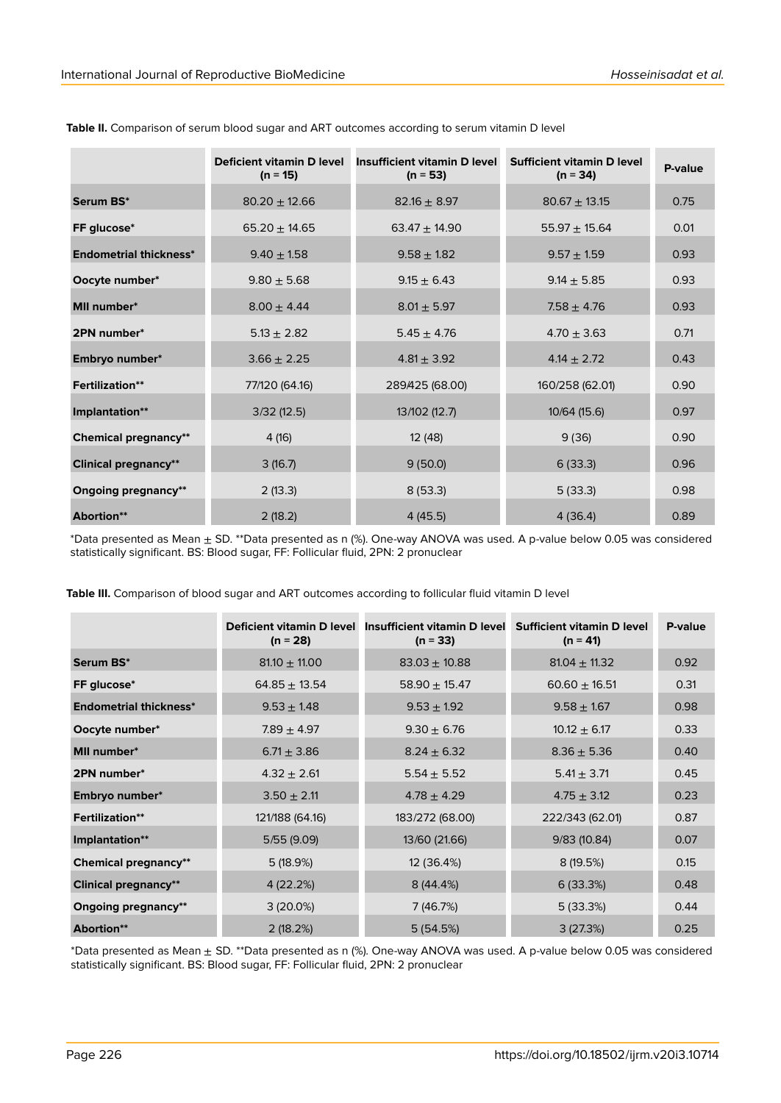|                               | Deficient vitamin D level<br>$(n = 15)$ | Insufficient vitamin D level<br>$(n = 53)$ | Sufficient vitamin D level<br>$(n = 34)$ | P-value |
|-------------------------------|-----------------------------------------|--------------------------------------------|------------------------------------------|---------|
| Serum BS*                     | $80.20 \pm 12.66$                       | $82.16 \pm 8.97$                           | $80.67 \pm 13.15$                        | 0.75    |
| FF glucose*                   | $65.20 \pm 14.65$                       | $63.47 \pm 14.90$                          | $55.97 \pm 15.64$                        | 0.01    |
| <b>Endometrial thickness*</b> | $9.40 \pm 1.58$                         | $9.58 \pm 1.82$                            | $9.57 + 1.59$                            | 0.93    |
| Oocyte number*                | $9.80 \pm 5.68$                         | $9.15 \pm 6.43$                            | $9.14 \pm 5.85$                          | 0.93    |
| <b>MII</b> number*            | $8.00 + 4.44$                           | $8.01 \pm 5.97$                            | $7.58 + 4.76$                            | 0.93    |
| 2PN number*                   | $5.13 \pm 2.82$                         | $5.45 \pm 4.76$                            | $4.70 \pm 3.63$                          | 0.71    |
| Embryo number*                | $3.66 \pm 2.25$                         | $4.81 + 3.92$                              | $4.14 \pm 2.72$                          | 0.43    |
| <b>Fertilization**</b>        | 77/120 (64.16)                          | 289/425 (68.00)                            | 160/258 (62.01)                          | 0.90    |
| Implantation**                | 3/32(12.5)                              | 13/102 (12.7)                              | 10/64 (15.6)                             | 0.97    |
| <b>Chemical pregnancy**</b>   | 4(16)                                   | 12 (48)                                    | 9(36)                                    | 0.90    |
| <b>Clinical pregnancy**</b>   | 3(16.7)                                 | 9(50.0)                                    | 6(33.3)                                  | 0.96    |
| <b>Ongoing pregnancy**</b>    | 2(13.3)                                 | 8(53.3)                                    | 5(33.3)                                  | 0.98    |
| Abortion**                    | 2(18.2)                                 | 4(45.5)                                    | 4(36.4)                                  | 0.89    |

**Table II.** Comparison of serum blood sugar and ART outcomes according to serum vitamin D level

\*Data presented as Mean ± SD. \*\*Data presented as n (%). One-way ANOVA was used. A p-value below 0.05 was considered statistically significant. BS: Blood sugar, FF: Follicular fluid, 2PN: 2 pronuclear

|                               | $(n = 28)$        | Deficient vitamin D level Insufficient vitamin D level Sufficient vitamin D level<br>$(n = 33)$ | $(n = 41)$        | P-value |
|-------------------------------|-------------------|-------------------------------------------------------------------------------------------------|-------------------|---------|
| Serum BS*                     | $81.10 \pm 11.00$ | $83.03 \pm 10.88$                                                                               | $81.04 \pm 11.32$ | 0.92    |
| FF glucose*                   | $64.85 \pm 13.54$ | $58.90 \pm 15.47$                                                                               | $60.60 \pm 16.51$ | 0.31    |
| <b>Endometrial thickness*</b> | $9.53 \pm 1.48$   | $9.53 \pm 1.92$                                                                                 | $9.58 \pm 1.67$   | 0.98    |
| Oocyte number*                | $7.89 \pm 4.97$   | $9.30 \pm 6.76$                                                                                 | $10.12 \pm 6.17$  | 0.33    |
| <b>MII number*</b>            | $6.71 \pm 3.86$   | $8.24 \pm 6.32$                                                                                 | $8.36 \pm 5.36$   | 0.40    |
| 2PN number*                   | $4.32 \pm 2.61$   | $5.54 \pm 5.52$                                                                                 | $5.41 \pm 3.71$   | 0.45    |
| Embryo number*                | $3.50 \pm 2.11$   | $4.78 \pm 4.29$                                                                                 | $4.75 \pm 3.12$   | 0.23    |
| <b>Fertilization**</b>        | 121/188 (64.16)   | 183/272 (68.00)                                                                                 | 222/343 (62.01)   | 0.87    |
| Implantation**                | 5/55(9.09)        | 13/60 (21.66)                                                                                   | 9/83(10.84)       | 0.07    |
| <b>Chemical pregnancy**</b>   | 5(18.9%)          | 12 (36.4%)                                                                                      | 8(19.5%)          | 0.15    |
| <b>Clinical pregnancy**</b>   | 4(22.2%)          | 8(44.4%)                                                                                        | 6(33.3%)          | 0.48    |
| <b>Ongoing pregnancy**</b>    | $3(20.0\%)$       | 7 (46.7%)                                                                                       | 5(33.3%)          | 0.44    |
| Abortion**                    | 2(18.2%)          | 5(54.5%)                                                                                        | 3(27.3%)          | 0.25    |

**Table III.** Comparison of blood sugar and ART outcomes according to follicular fluid vitamin D level

\*Data presented as Mean ± SD. \*\*Data presented as n (%). One-way ANOVA was used. A p-value below 0.05 was considered statistically significant. BS: Blood sugar, FF: Follicular fluid, 2PN: 2 pronuclear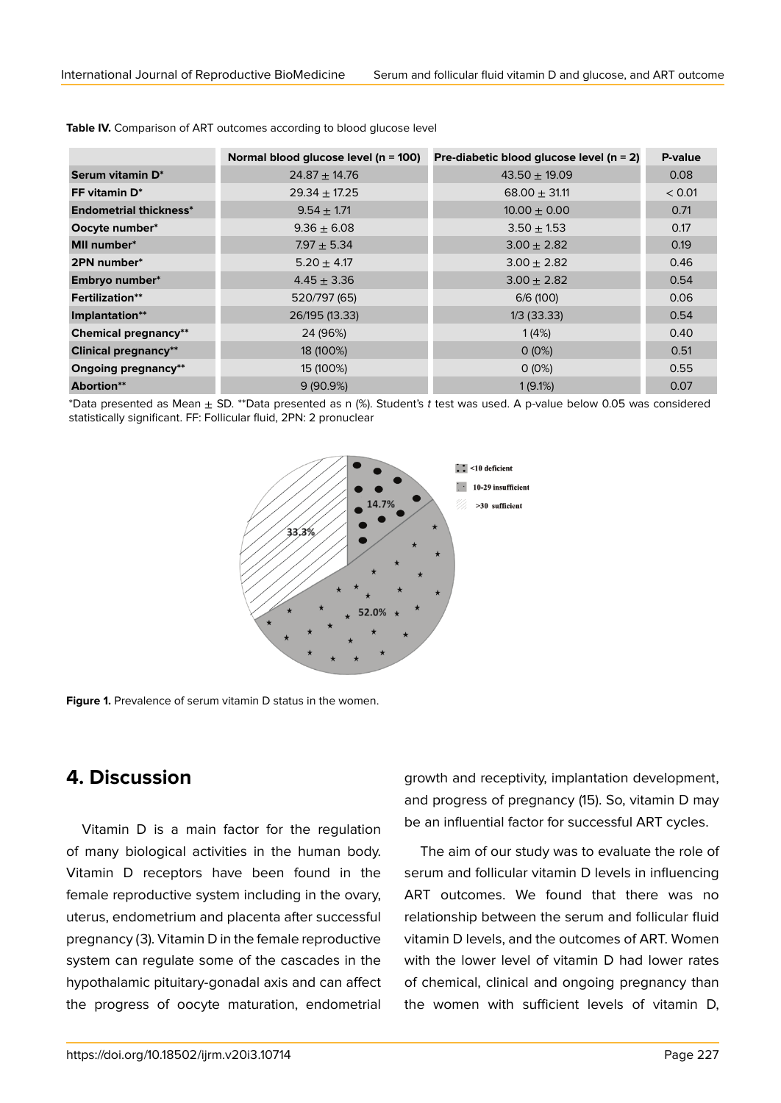|                               | Normal blood glucose level ( $n = 100$ ) | Pre-diabetic blood glucose level ( $n = 2$ ) | P-value |
|-------------------------------|------------------------------------------|----------------------------------------------|---------|
| Serum vitamin D*              | $24.87 \pm 14.76$                        | $43.50 \pm 19.09$                            | 0.08    |
| FF vitamin D*                 | $29.34 \pm 17.25$                        | $68.00 \pm 31.11$                            | < 0.01  |
| <b>Endometrial thickness*</b> | $9.54 \pm 1.71$                          | $10.00 \pm 0.00$                             | 0.71    |
| Oocyte number*                | $9.36 \pm 6.08$                          | $3.50 \pm 1.53$                              | 0.17    |
| <b>MII</b> number*            | $7.97 + 5.34$                            | $3.00 \pm 2.82$                              | 0.19    |
| 2PN number*                   | $5.20 \pm 4.17$                          | $3.00 \pm 2.82$                              | 0.46    |
| Embryo number*                | $4.45 \pm 3.36$                          | $3.00 \pm 2.82$                              | 0.54    |
| <b>Fertilization**</b>        | 520/797 (65)                             | 6/6 (100)                                    | 0.06    |
| Implantation**                | 26/195 (13.33)                           | $1/3$ (33.33)                                | 0.54    |
| <b>Chemical pregnancy**</b>   | 24 (96%)                                 | 1(4%)                                        | 0.40    |
| <b>Clinical pregnancy**</b>   | 18 (100%)                                | $0(0\%)$                                     | 0.51    |
| <b>Ongoing pregnancy**</b>    | 15 (100%)                                | $0(0\%)$                                     | 0.55    |
| Abortion**                    | $9(90.9\%)$                              | 1(9.1%)                                      | 0.07    |

**Table IV.** Comparison of ART outcomes according to blood glucose level

\*Data presented as Mean ± SD. \*\*Data presented as n (%). Student's *t* test was used. A p-value below 0.05 was considered statistically significant. FF: Follicular fluid, 2PN: 2 pronuclear



**Figure 1.** Prevalence of serum vitamin D status in the women.

## **4. Discussion**

Vitamin D is a main factor for the regulation of many biological activities in the human body. Vitamin D receptors have been found in the female reproductive system including in the ovary, uterus, endometrium and placenta after successful pregnancy (3). Vitamin D in the female reproductive system can regulate some of the cascades in the hypothalamic pituitary-gonadal axis and can affect the progress of oocyte maturation, endometrial

growth and receptivity, implantation development, and progress of pregnancy (15). So, vitamin D may be an influential factor for successful ART cycles.

The aim of our study was to evaluate the role of serum and follicular vitamin D levels in influencing ART outcomes. We found that there was no relationship between the serum and follicular fluid vitamin D levels, and the outcomes of ART. Women with the lower level of vitamin D had lower rates of chemical, clinical and ongoing pregnancy than the women with sufficient levels of vitamin D,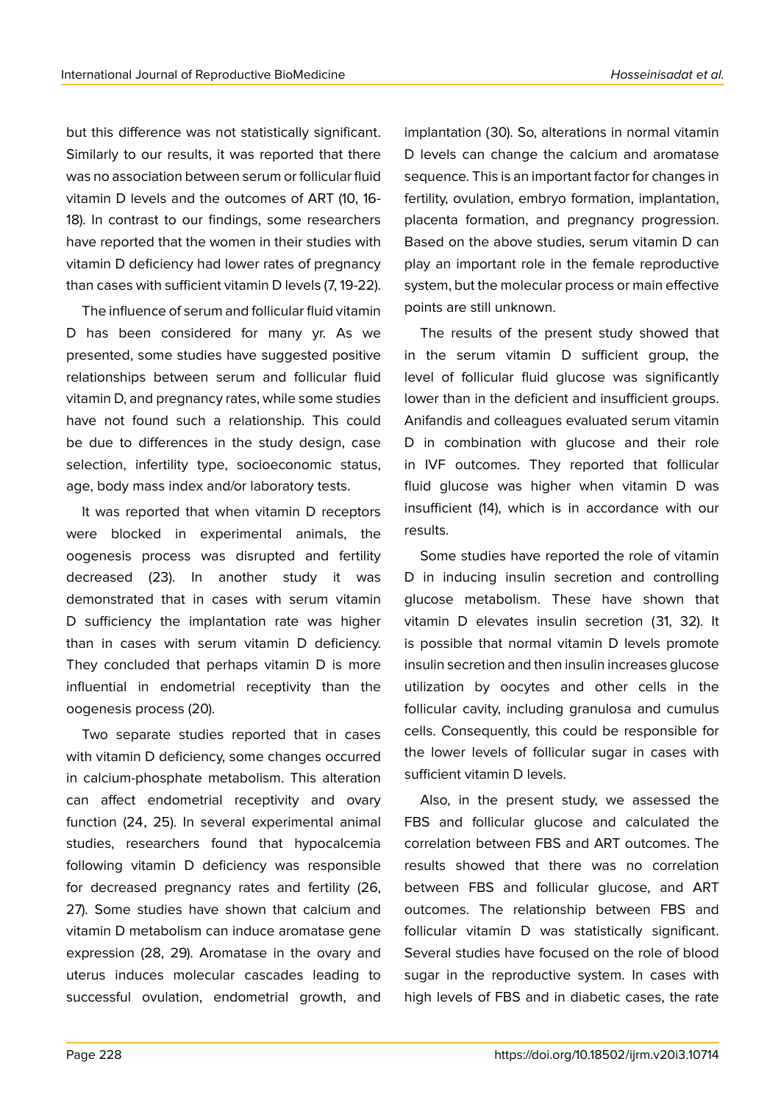but this difference was not statistically significant. Similarly to our results, it was reported that there was no association between serum or follicular fluid vitamin D levels and the outcomes of ART (10, 16- 18). In contrast to our findings, some researchers have reported that the women in their studies with vitamin D deficiency had lower rates of pregnancy than cases with sufficient vitamin D levels (7, 19-22).

The influence of serum and follicular fluid vitamin D has been considered for many yr. As we presented, some studies have suggested positive relationships between serum and follicular fluid vitamin D, and pregnancy rates, while some studies have not found such a relationship. This could be due to differences in the study design, case selection, infertility type, socioeconomic status, age, body mass index and/or laboratory tests.

It was reported that when vitamin D receptors were blocked in experimental animals, the oogenesis process was disrupted and fertility decreased (23). In another study it was demonstrated that in cases with serum vitamin D sufficiency the implantation rate was higher than in cases with serum vitamin D deficiency. They concluded that perhaps vitamin D is more influential in endometrial receptivity than the oogenesis process (20).

Two separate studies reported that in cases with vitamin D deficiency, some changes occurred in calcium-phosphate metabolism. This alteration can affect endometrial receptivity and ovary function (24, 25). In several experimental animal studies, researchers found that hypocalcemia following vitamin D deficiency was responsible for decreased pregnancy rates and fertility (26, 27). Some studies have shown that calcium and vitamin D metabolism can induce aromatase gene expression (28, 29). Aromatase in the ovary and uterus induces molecular cascades leading to successful ovulation, endometrial growth, and

implantation (30). So, alterations in normal vitamin D levels can change the calcium and aromatase sequence. This is an important factor for changes in fertility, ovulation, embryo formation, implantation, placenta formation, and pregnancy progression. Based on the above studies, serum vitamin D can play an important role in the female reproductive system, but the molecular process or main effective points are still unknown.

The results of the present study showed that in the serum vitamin D sufficient group, the level of follicular fluid glucose was significantly lower than in the deficient and insufficient groups. Anifandis and colleagues evaluated serum vitamin D in combination with glucose and their role in IVF outcomes. They reported that follicular fluid glucose was higher when vitamin D was insufficient (14), which is in accordance with our results.

Some studies have reported the role of vitamin D in inducing insulin secretion and controlling glucose metabolism. These have shown that vitamin D elevates insulin secretion (31, 32). It is possible that normal vitamin D levels promote insulin secretion and then insulin increases glucose utilization by oocytes and other cells in the follicular cavity, including granulosa and cumulus cells. Consequently, this could be responsible for the lower levels of follicular sugar in cases with sufficient vitamin D levels.

Also, in the present study, we assessed the FBS and follicular glucose and calculated the correlation between FBS and ART outcomes. The results showed that there was no correlation between FBS and follicular glucose, and ART outcomes. The relationship between FBS and follicular vitamin D was statistically significant. Several studies have focused on the role of blood sugar in the reproductive system. In cases with high levels of FBS and in diabetic cases, the rate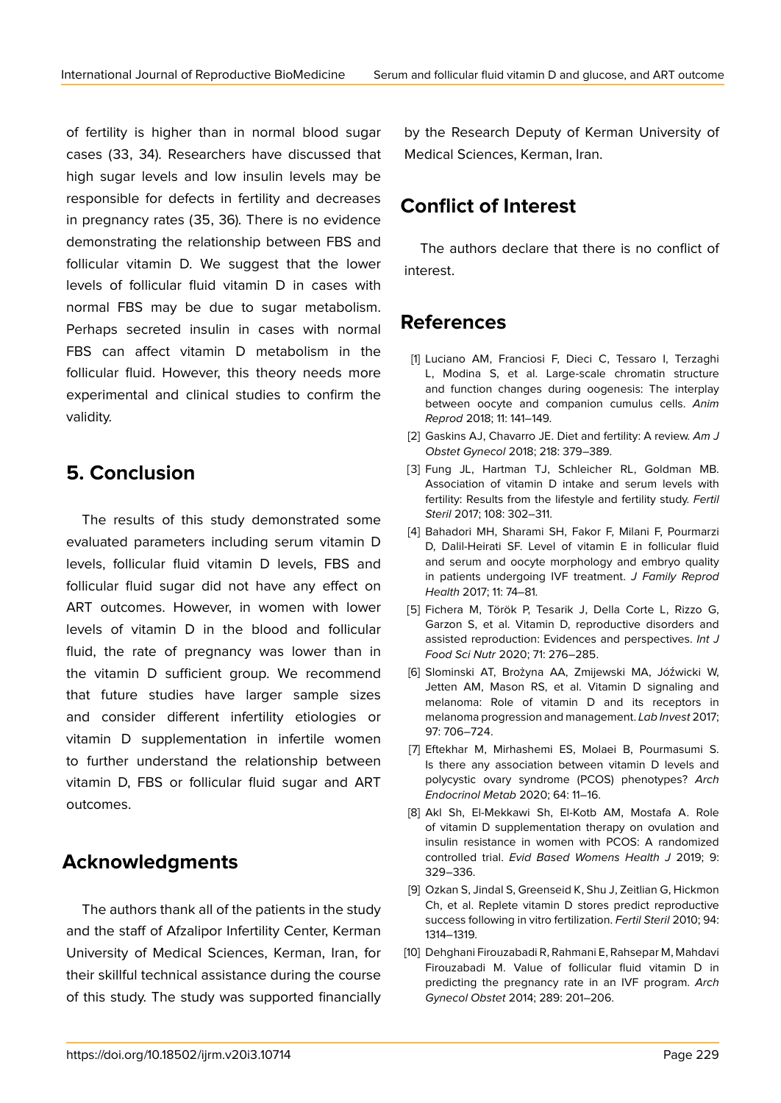of fertility is higher than in normal blood sugar cases (33, 34). Researchers have discussed that high sugar levels and low insulin levels may be responsible for defects in fertility and decreases in pregnancy rates (35, 36). There is no evidence demonstrating the relationship between FBS and follicular vitamin D. We suggest that the lower levels of follicular fluid vitamin D in cases with normal FBS may be due to sugar metabolism. Perhaps secreted insulin in cases with normal FBS can affect vitamin D metabolism in the follicular fluid. However, this theory needs more experimental and clinical studies to confirm the validity.

## **5. Conclusion**

The results of this study demonstrated some evaluated parameters including serum vitamin D levels, follicular fluid vitamin D levels, FBS and follicular fluid sugar did not have any effect on ART outcomes. However, in women with lower levels of vitamin D in the blood and follicular fluid, the rate of pregnancy was lower than in the vitamin D sufficient group. We recommend that future studies have larger sample sizes and consider different infertility etiologies or vitamin D supplementation in infertile women to further understand the relationship between vitamin D, FBS or follicular fluid sugar and ART outcomes.

## **Acknowledgments**

The authors thank all of the patients in the study and the staff of Afzalipor Infertility Center, Kerman University of Medical Sciences, Kerman, Iran, for their skillful technical assistance during the course of this study. The study was supported financially

by the Research Deputy of Kerman University of Medical Sciences, Kerman, Iran.

# **Conflict of Interest**

The authors declare that there is no conflict of interest.

## **References**

- [1] Luciano AM, Franciosi F, Dieci C, Tessaro I, Terzaghi L, Modina S, et al. Large-scale chromatin structure and function changes during oogenesis: The interplay between oocyte and companion cumulus cells. *Anim Reprod* 2018; 11: 141–149.
- [2] Gaskins AJ, Chavarro JE. Diet and fertility: A review. *Am J Obstet Gynecol* 2018; 218: 379–389.
- [3] Fung JL, Hartman TJ, Schleicher RL, Goldman MB. Association of vitamin D intake and serum levels with fertility: Results from the lifestyle and fertility study. *Fertil Steril* 2017; 108: 302–311.
- [4] Bahadori MH, Sharami SH, Fakor F, Milani F, Pourmarzi D, Dalil-Heirati SF. Level of vitamin E in follicular fluid and serum and oocyte morphology and embryo quality in patients undergoing IVF treatment. *J Family Reprod Health* 2017; 11: 74–81.
- [5] Fichera M, Török P, Tesarik J, Della Corte L, Rizzo G, Garzon S, et al. Vitamin D, reproductive disorders and assisted reproduction: Evidences and perspectives. *Int J Food Sci Nutr* 2020; 71: 276–285.
- [6] Slominski AT, Brożyna AA, Zmijewski MA, Jóźwicki W, Jetten AM, Mason RS, et al. Vitamin D signaling and melanoma: Role of vitamin D and its receptors in melanoma progression and management. *Lab Invest* 2017; 97: 706–724.
- [7] Eftekhar M, Mirhashemi ES, Molaei B, Pourmasumi S. Is there any association between vitamin D levels and polycystic ovary syndrome (PCOS) phenotypes? *Arch Endocrinol Metab* 2020; 64: 11–16.
- [8] Akl Sh, El-Mekkawi Sh, El-Kotb AM, Mostafa A. Role of vitamin D supplementation therapy on ovulation and insulin resistance in women with PCOS: A randomized controlled trial. *Evid Based Womens Health J* 2019; 9: 329–336.
- [9] Ozkan S, Jindal S, Greenseid K, Shu J, Zeitlian G, Hickmon Ch, et al. Replete vitamin D stores predict reproductive success following in vitro fertilization. *Fertil Steril* 2010; 94: 1314–1319.
- [10] Dehghani Firouzabadi R, Rahmani E, Rahsepar M, Mahdavi Firouzabadi M. Value of follicular fluid vitamin D in predicting the pregnancy rate in an IVF program. *Arch Gynecol Obstet* 2014; 289: 201–206.